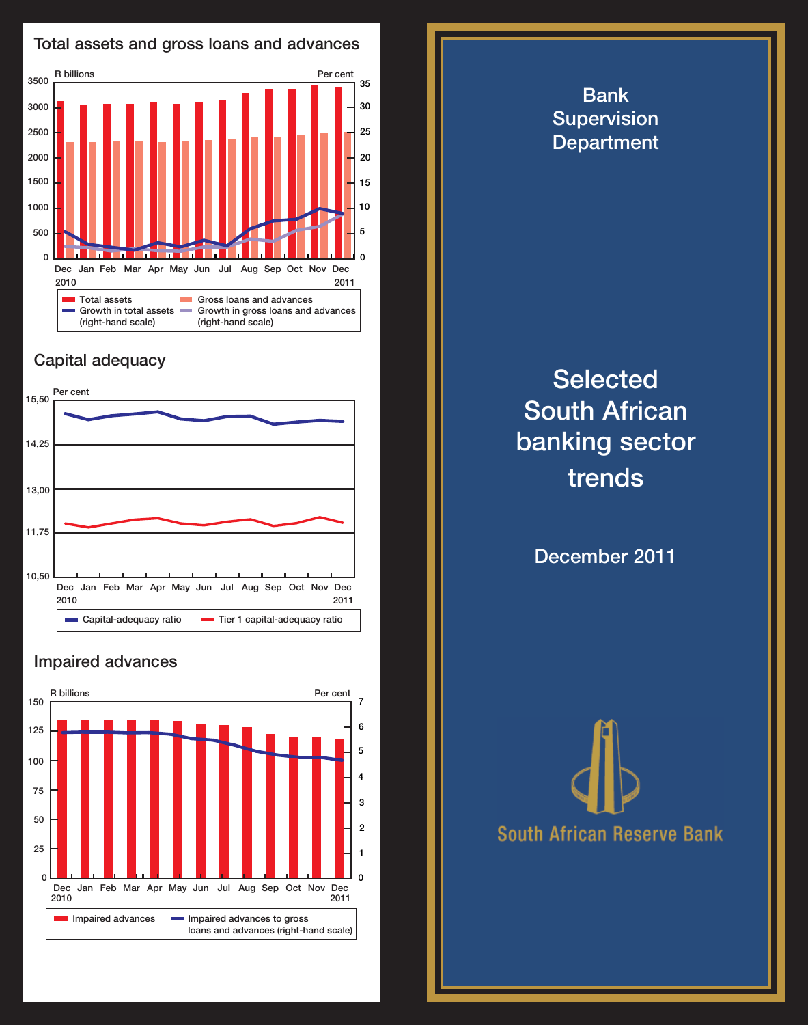

## Capital adequacy



## Impaired advances



**Selected** South African banking sector trends

Bank **Supervision Department** 

December 2011